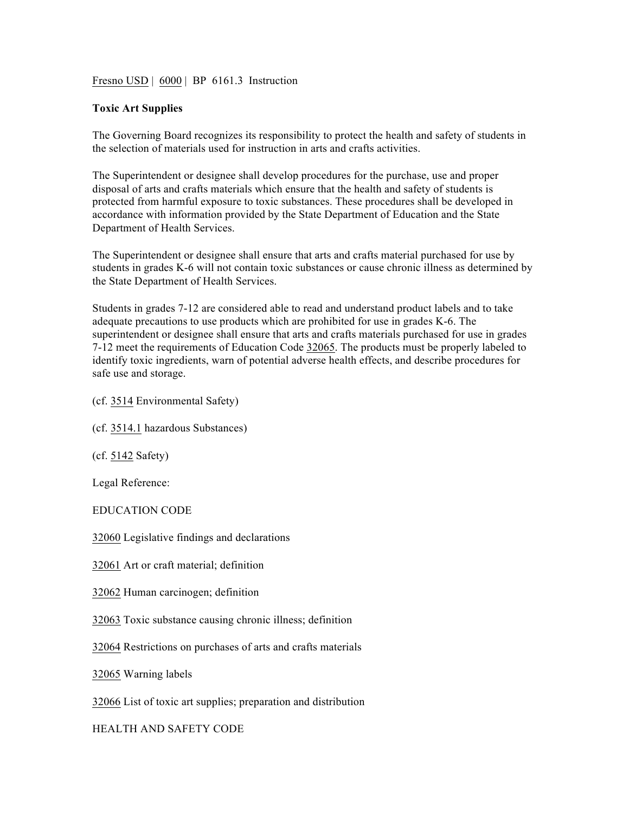Fresno USD | 6000 | BP 6161.3 Instruction

## **Toxic Art Supplies**

The Governing Board recognizes its responsibility to protect the health and safety of students in the selection of materials used for instruction in arts and crafts activities.

The Superintendent or designee shall develop procedures for the purchase, use and proper disposal of arts and crafts materials which ensure that the health and safety of students is protected from harmful exposure to toxic substances. These procedures shall be developed in accordance with information provided by the State Department of Education and the State Department of Health Services.

The Superintendent or designee shall ensure that arts and crafts material purchased for use by students in grades K-6 will not contain toxic substances or cause chronic illness as determined by the State Department of Health Services.

Students in grades 7-12 are considered able to read and understand product labels and to take adequate precautions to use products which are prohibited for use in grades K-6. The superintendent or designee shall ensure that arts and crafts materials purchased for use in grades 7-12 meet the requirements of Education Code 32065. The products must be properly labeled to identify toxic ingredients, warn of potential adverse health effects, and describe procedures for safe use and storage.

(cf. 3514 Environmental Safety)

(cf. 3514.1 hazardous Substances)

(cf. 5142 Safety)

Legal Reference:

EDUCATION CODE

32060 Legislative findings and declarations

32061 Art or craft material; definition

32062 Human carcinogen; definition

32063 Toxic substance causing chronic illness; definition

32064 Restrictions on purchases of arts and crafts materials

32065 Warning labels

32066 List of toxic art supplies; preparation and distribution

HEALTH AND SAFETY CODE